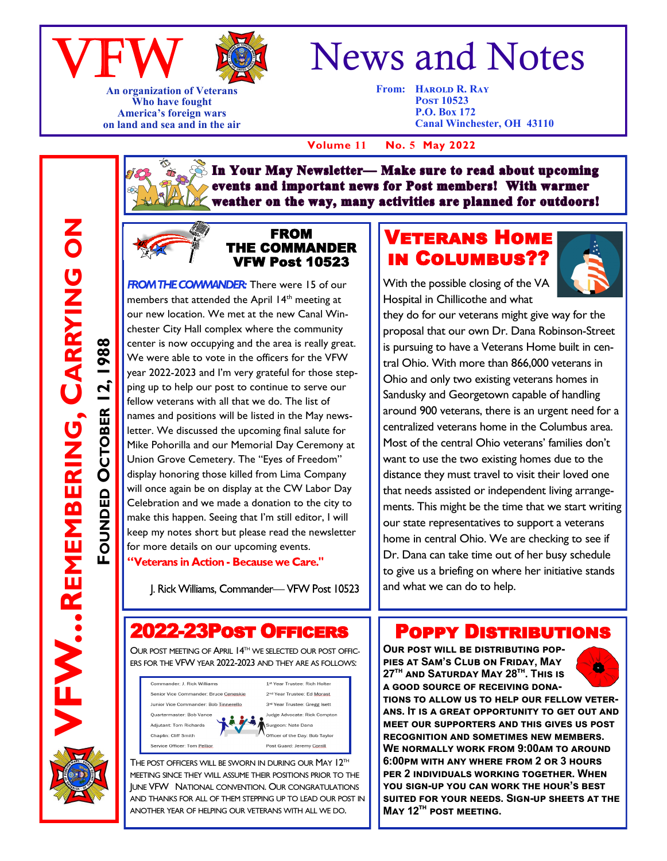



**An organization of Veterans Who have fought America's foreign wars on land and sea and in the air**

# News and Notes

**From: HAROLD R. RAY Post 10523 P.O. Box 172 Canal Winchester, OH 43110**

 **Volume 11 No. 5 May 2022**

In Your May Newsletter-Make sure to read about upcoming events and important news for Post members! With warmer weather on the way, many activities are planned for outdoors!



FW...REMEMBERING,

**FOUNDED**

**OCTOBER 12, 1988**

**OCTOBER** 

1988

**REMEMBERING, CARRYING ON**

 $\overline{5}$ 

CARRYING

#### FROM THE COMMANDER VFW Post 10523

**FROM THE COMMANDER:** There were 15 of our members that attended the April 14<sup>th</sup> meeting at our new location. We met at the new Canal Winchester City Hall complex where the community center is now occupying and the area is really great. We were able to vote in the officers for the VFW year 2022-2023 and I'm very grateful for those stepping up to help our post to continue to serve our fellow veterans with all that we do. The list of names and positions will be listed in the May newsletter. We discussed the upcoming final salute for Mike Pohorilla and our Memorial Day Ceremony at Union Grove Cemetery. The "Eyes of Freedom" display honoring those killed from Lima Company will once again be on display at the CW Labor Day Celebration and we made a donation to the city to make this happen. Seeing that I'm still editor, I will keep my notes short but please read the newsletter for more details on our upcoming events. "Veterans in Action - Because we Care."

J. Rick Williams, Commander- VFW Post 10523

## 2022-23Post Officers

OUR POST MEETING OF APRIL 14TH WE SELECTED OUR POST OFFIC-ERS FOR THE VFW YEAR 2022-2023 AND THEY ARE AS FOLLOWS:



THE POST OFFICERS WILL BE SWORN IN DURING OUR MAY 12<sup>TH</sup> MEETING SINCE THEY WILL ASSUME THEIR POSITIONS PRIOR TO THE JUNE VFW NATIONAL CONVENTION. OUR CONGRATULATIONS AND THANKS FOR ALL OF THEM STEPPING UP TO LEAD OUR POST IN ANOTHER YEAR OF HELPING OUR VETERANS WITH ALL WE DO.

## Veterans Home in Columbus??

With the possible closing of the VA Hospital in Chillicothe and what



they do for our veterans might give way for the proposal that our own Dr. Dana Robinson-Street is pursuing to have a Veterans Home built in central Ohio. With more than 866,000 veterans in Ohio and only two existing veterans homes in Sandusky and Georgetown capable of handling around 900 veterans, there is an urgent need for a centralized veterans home in the Columbus area. Most of the central Ohio veterans' families don't want to use the two existing homes due to the distance they must travel to visit their loved one that needs assisted or independent living arrangements. This might be the time that we start writing our state representatives to support a veterans home in central Ohio. We are checking to see if Dr. Dana can take time out of her busy schedule to give us a briefing on where her initiative stands and what we can do to help.

### Poppy Distributions

**Our post will be distributing poppies at Sam's Club on Friday, May 27th and Saturday May 28th. This is a good source of receiving dona-**



**tions to allow us to help our fellow veterans. It is a great opportunity to get out and meet our supporters and this gives us post recognition and sometimes new members. We normally work from 9:00am to around 6:00pm with any where from 2 or 3 hours per 2 individuals working together. When you sign-up you can work the hour's best suited for your needs. Sign-up sheets at the May 12th post meeting.**